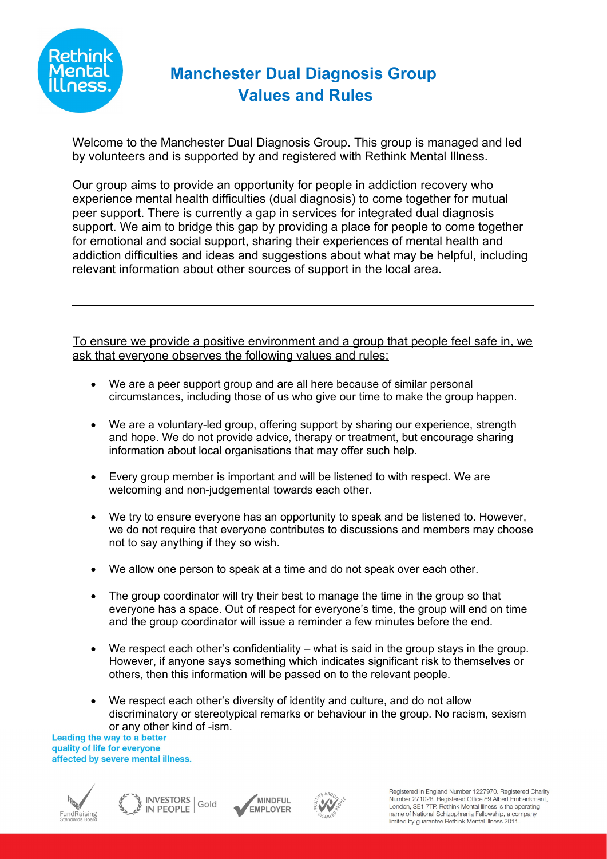

## **Manchester Dual Diagnosis Group Values and Rules**

Welcome to the Manchester Dual Diagnosis Group. This group is managed and led by volunteers and is supported by and registered with Rethink Mental Illness.

Our group aims to provide an opportunity for people in addiction recovery who experience mental health difficulties (dual diagnosis) to come together for mutual peer support. There is currently a gap in services for integrated dual diagnosis support. We aim to bridge this gap by providing a place for people to come together for emotional and social support, sharing their experiences of mental health and addiction difficulties and ideas and suggestions about what may be helpful, including relevant information about other sources of support in the local area.

To ensure we provide a positive environment and a group that people feel safe in, we ask that everyone observes the following values and rules:

- We are a peer support group and are all here because of similar personal circumstances, including those of us who give our time to make the group happen.
- We are a voluntary-led group, offering support by sharing our experience, strength and hope. We do not provide advice, therapy or treatment, but encourage sharing information about local organisations that may offer such help.
- Every group member is important and will be listened to with respect. We are welcoming and non-judgemental towards each other.
- We try to ensure everyone has an opportunity to speak and be listened to. However, we do not require that everyone contributes to discussions and members may choose not to say anything if they so wish.
- We allow one person to speak at a time and do not speak over each other.
- The group coordinator will try their best to manage the time in the group so that everyone has a space. Out of respect for everyone's time, the group will end on time and the group coordinator will issue a reminder a few minutes before the end.
- We respect each other's confidentiality what is said in the group stays in the group. However, if anyone says something which indicates significant risk to themselves or others, then this information will be passed on to the relevant people.
- We respect each other's diversity of identity and culture, and do not allow discriminatory or stereotypical remarks or behaviour in the group. No racism, sexism or any other kind of -ism.<br>Leading the way to a better

quality of life for everyone affected by severe mental illness.









Registered in England Number 1227970, Registered Charity Number 271028. Registered Office 89 Albert Embankment, London, SE1 7TP, Bethink Mental Illness is the operating name of National Schizophrenia Fellowship, a company limited by guarantee Rethink Mental Illness 2011.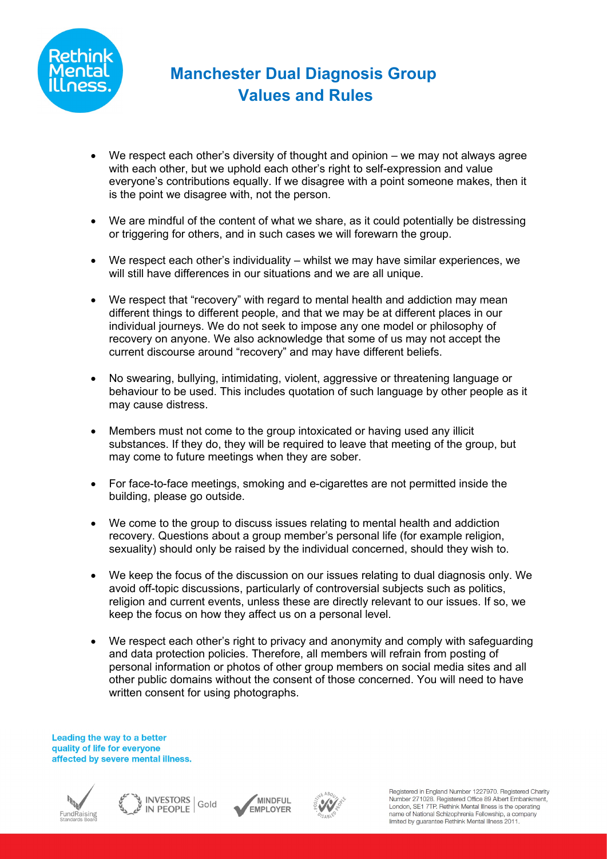

## **Manchester Dual Diagnosis Group Values and Rules**

- We respect each other's diversity of thought and opinion we may not always agree with each other, but we uphold each other's right to self-expression and value everyone's contributions equally. If we disagree with a point someone makes, then it is the point we disagree with, not the person.
- We are mindful of the content of what we share, as it could potentially be distressing or triggering for others, and in such cases we will forewarn the group.
- We respect each other's individuality whilst we may have similar experiences, we will still have differences in our situations and we are all unique.
- We respect that "recovery" with regard to mental health and addiction may mean different things to different people, and that we may be at different places in our individual journeys. We do not seek to impose any one model or philosophy of recovery on anyone. We also acknowledge that some of us may not accept the current discourse around "recovery" and may have different beliefs.
- No swearing, bullying, intimidating, violent, aggressive or threatening language or behaviour to be used. This includes quotation of such language by other people as it may cause distress.
- Members must not come to the group intoxicated or having used any illicit substances. If they do, they will be required to leave that meeting of the group, but may come to future meetings when they are sober.
- For face-to-face meetings, smoking and e-cigarettes are not permitted inside the building, please go outside.
- We come to the group to discuss issues relating to mental health and addiction recovery. Questions about a group member's personal life (for example religion, sexuality) should only be raised by the individual concerned, should they wish to.
- We keep the focus of the discussion on our issues relating to dual diagnosis only. We avoid off-topic discussions, particularly of controversial subjects such as politics, religion and current events, unless these are directly relevant to our issues. If so, we keep the focus on how they affect us on a personal level.
- We respect each other's right to privacy and anonymity and comply with safeguarding and data protection policies. Therefore, all members will refrain from posting of personal information or photos of other group members on social media sites and all other public domains without the consent of those concerned. You will need to have written consent for using photographs.

Leading the way to a better quality of life for everyone affected by severe mental illness.









Registered in England Number 1227970, Registered Charity Number 271028. Registered Office 89 Albert Embankment, London, SE1 7TP, Bethink Mental Illness is the operating name of National Schizophrenia Fellowship, a company limited by guarantee Rethink Mental Illness 2011.